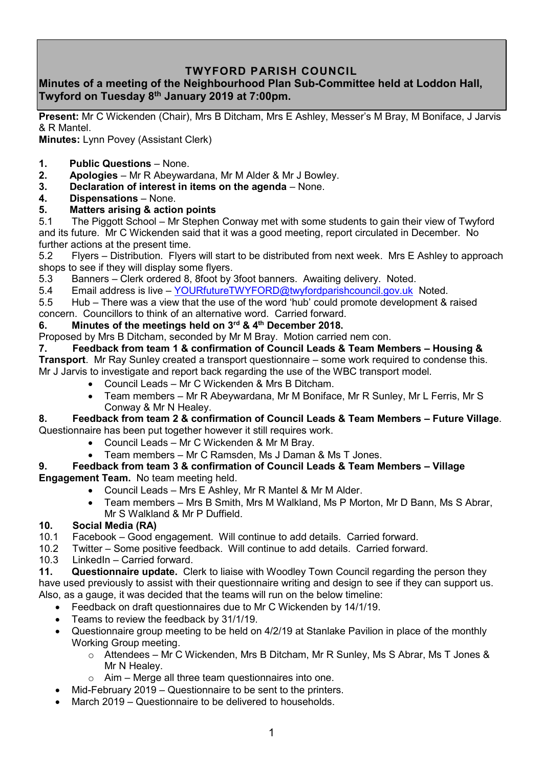# **TWYFORD PARISH COUNCIL**

## **Minutes of a meeting of the Neighbourhood Plan Sub-Committee held at Loddon Hall, Twyford on Tuesday 8 th January 2019 at 7:00pm.**

**Present:** Mr C Wickenden (Chair), Mrs B Ditcham, Mrs E Ashley, Messer's M Bray, M Boniface, J Jarvis & R Mantel.

**Minutes:** Lynn Povey (Assistant Clerk)

- **1. Public Questions** None.
- **2. Apologies** Mr R Abeywardana, Mr M Alder & Mr J Bowley.
- **3. Declaration of interest in items on the agenda** None.
- **4. Dispensations**  None.

## **5. Matters arising & action points**

5.1 The Piggott School – Mr Stephen Conway met with some students to gain their view of Twyford and its future. Mr C Wickenden said that it was a good meeting, report circulated in December. No further actions at the present time.

5.2 Flyers – Distribution. Flyers will start to be distributed from next week. Mrs E Ashley to approach shops to see if they will display some flyers.

5.3 Banners – Clerk ordered 8, 8foot by 3foot banners. Awaiting delivery. Noted.

5.4 Email address is live – [YOURfutureTWYFORD@twyfordparishcouncil.gov.uk](mailto:YOURfutureTWYFORD@twyfordparishcouncil.gov.uk) Noted.

5.5 Hub – There was a view that the use of the word 'hub' could promote development & raised concern. Councillors to think of an alternative word. Carried forward.

### **6. Minutes of the meetings held on 3 rd & 4 th December 2018.**

Proposed by Mrs B Ditcham, seconded by Mr M Bray. Motion carried nem con.

#### **7. Feedback from team 1 & confirmation of Council Leads & Team Members – Housing &**

**Transport**. Mr Ray Sunley created a transport questionnaire – some work required to condense this. Mr J Jarvis to investigate and report back regarding the use of the WBC transport model.

- Council Leads Mr C Wickenden & Mrs B Ditcham.
- Team members Mr R Abeywardana, Mr M Boniface, Mr R Sunley, Mr L Ferris, Mr S Conway & Mr N Healey.

#### **8. Feedback from team 2 & confirmation of Council Leads & Team Members – Future Village**. Questionnaire has been put together however it still requires work.

- Council Leads Mr C Wickenden & Mr M Bray.
- Team members Mr C Ramsden, Ms J Daman & Ms T Jones.

#### **9. Feedback from team 3 & confirmation of Council Leads & Team Members – Village Engagement Team.** No team meeting held.

- Council Leads Mrs E Ashley, Mr R Mantel & Mr M Alder.
- Team members Mrs B Smith, Mrs M Walkland, Ms P Morton, Mr D Bann, Ms S Abrar, Mr S Walkland & Mr P Duffield.

## **10. Social Media (RA)**

- 10.1 Facebook Good engagement. Will continue to add details. Carried forward.
- 10.2 Twitter Some positive feedback. Will continue to add details. Carried forward.
- 10.3 LinkedIn Carried forward.

**11. Questionnaire update.** Clerk to liaise with Woodley Town Council regarding the person they have used previously to assist with their questionnaire writing and design to see if they can support us. Also, as a gauge, it was decided that the teams will run on the below timeline:

- Feedback on draft questionnaires due to Mr C Wickenden by 14/1/19.
- Teams to review the feedback by 31/1/19.
- Questionnaire group meeting to be held on 4/2/19 at Stanlake Pavilion in place of the monthly Working Group meeting.
	- o Attendees Mr C Wickenden, Mrs B Ditcham, Mr R Sunley, Ms S Abrar, Ms T Jones & Mr N Healey.
	- $\circ$  Aim Merge all three team questionnaires into one.
- Mid-February 2019 Questionnaire to be sent to the printers.
- March 2019 Questionnaire to be delivered to households.